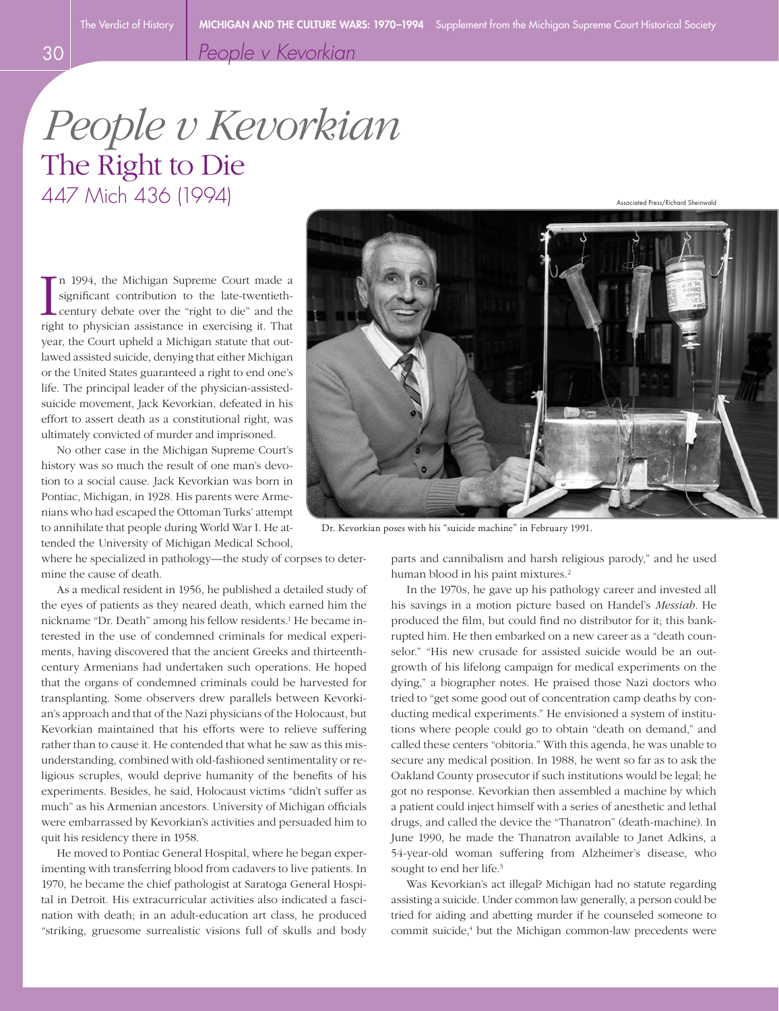30

*People v Kevorkian*

## *People v Kevorkian* The Right to Die 447 Mich 436 (1994)

In 1994, the Michigan Supreme Court made a significant contribution to the late-twentieth-<br>century debate over the "right to die" and the right to physician assistance in exercising it. That n 1994, the Michigan Supreme Court made a significant contribution to the late-twentiethcentury debate over the "right to die" and the year, the Court upheld a Michigan statute that outlawed assisted suicide, denying that either Michigan or the United States guaranteed a right to end one's life. The principal leader of the physician-assistedsuicide movement, Jack Kevorkian, defeated in his effort to assert death as a constitutional right, was ultimately convicted of murder and imprisoned.

No other case in the Michigan Supreme Court's history was so much the result of one man's devotion to a social cause. Jack Kevorkian was born in Pontiac, Michigan, in 1928. His parents were Armenians who had escaped the Ottoman Turks' attempt to annihilate that people during World War I. He attended the University of Michigan Medical School,

where he specialized in pathology—the study of corpses to determine the cause of death.

As a medical resident in 1956, he published a detailed study of the eyes of patients as they neared death, which earned him the nickname "Dr. Death" among his fellow residents.<sup>1</sup> He became interested in the use of condemned criminals for medical experiments, having discovered that the ancient Greeks and thirteenthcentury Armenians had undertaken such operations. He hoped that the organs of condemned criminals could be harvested for transplanting. Some observers drew parallels between Kevorkian's approach and that of the Nazi physicians of the Holocaust, but Kevorkian maintained that his efforts were to relieve suffering rather than to cause it. He contended that what he saw as this misunderstanding, combined with old-fashioned sentimentality or religious scruples, would deprive humanity of the benefits of his experiments. Besides, he said, Holocaust victims "didn't suffer as much" as his Armenian ancestors. University of Michigan officials were embarrassed by Kevorkian's activities and persuaded him to quit his residency there in 1958.

He moved to Pontiac General Hospital, where he began experimenting with transferring blood from cadavers to live patients. In 1970, he became the chief pathologist at Saratoga General Hospital in Detroit. His extracurricular activities also indicated a fascination with death; in an adult-education art class, he produced "striking, gruesome surrealistic visions full of skulls and body



Associated Press/Richard Sheinw

Dr. Kevorkian poses with his "suicide machine" in February 1991.

parts and cannibalism and harsh religious parody," and he used human blood in his paint mixtures.<sup>2</sup>

In the 1970s, he gave up his pathology career and invested all his savings in a motion picture based on Handel's *Messiah.* He produced the film, but could find no distributor for it; this bankrupted him. He then embarked on a new career as a "death counselor." "His new crusade for assisted suicide would be an outgrowth of his lifelong campaign for medical experiments on the dying," a biographer notes. He praised those Nazi doctors who tried to "get some good out of concentration camp deaths by conducting medical experiments." He envisioned a system of institutions where people could go to obtain "death on demand," and called these centers "obitoria." With this agenda, he was unable to secure any medical position. In 1988, he went so far as to ask the Oakland County prosecutor if such institutions would be legal; he got no response. Kevorkian then assembled a machine by which a patient could inject himself with a series of anesthetic and lethal drugs, and called the device the "Thanatron" (death-machine). In June 1990, he made the Thanatron available to Janet Adkins, a 54-year-old woman suffering from Alzheimer's disease, who sought to end her life.<sup>3</sup>

Was Kevorkian's act illegal? Michigan had no statute regarding assisting a suicide. Under common law generally, a person could be tried for aiding and abetting murder if he counseled someone to commit suicide,<sup>4</sup> but the Michigan common-law precedents were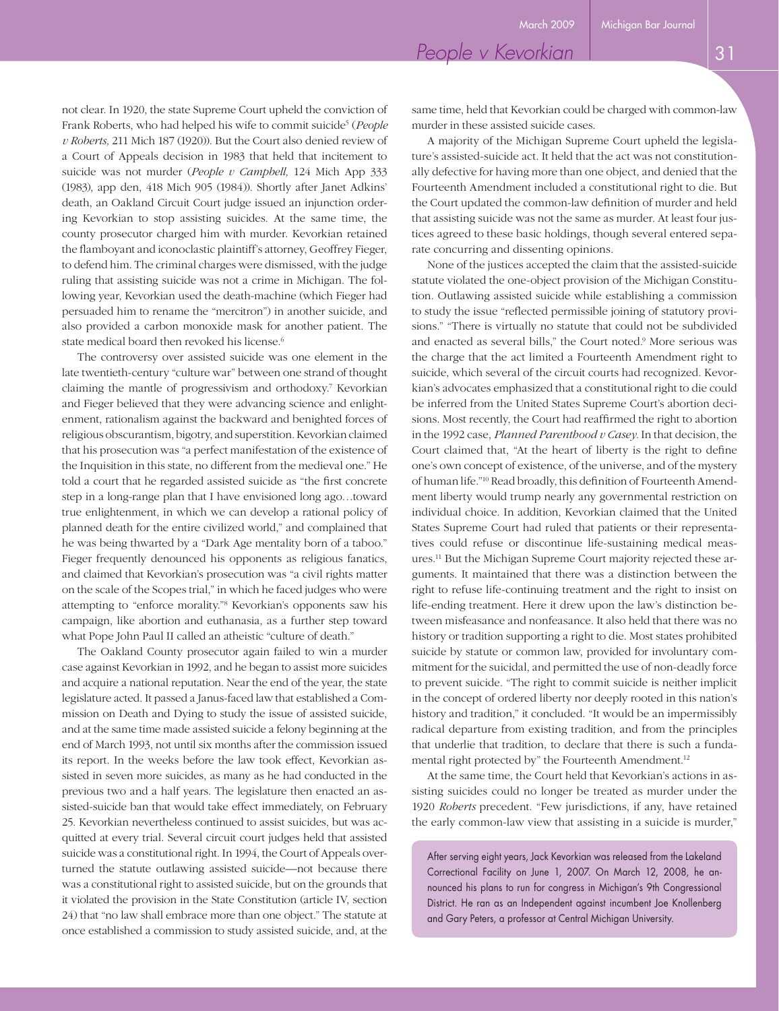not clear. In 1920, the state Supreme Court upheld the conviction of Frank Roberts, who had helped his wife to commit suicide<sup>5</sup> (People *v Roberts,* 211 Mich 187 (1920)). But the Court also denied review of a Court of Appeals decision in 1983 that held that incitement to suicide was not murder (*People v Campbell,* 124 Mich App 333 (1983), app den, 418 Mich 905 (1984)). Shortly after Janet Adkins' death, an Oakland Circuit Court judge issued an injunction ordering Kevorkian to stop assisting suicides. At the same time, the county prosecutor charged him with murder. Kevorkian retained the flamboyant and iconoclastic plaintiff's attorney, Geoffrey Fieger, to defend him. The criminal charges were dismissed, with the judge ruling that assisting suicide was not a crime in Michigan. The following year, Kevorkian used the death-machine (which Fieger had persuaded him to rename the "mercitron") in another suicide, and also provided a carbon monoxide mask for another patient. The state medical board then revoked his license.<sup>6</sup>

The controversy over assisted suicide was one element in the late twentieth-century "culture war" between one strand of thought claiming the mantle of progressivism and orthodoxy.<sup>7</sup> Kevorkian and Fieger believed that they were advancing science and enlightenment, rationalism against the backward and benighted forces of religious obscurantism, bigotry, and superstition. Kevorkian claimed that his prosecution was "a perfect manifestation of the existence of the Inquisition in this state, no different from the medieval one." He told a court that he regarded assisted suicide as "the first concrete step in a long-range plan that I have envisioned long ago…toward true enlightenment, in which we can develop a rational policy of planned death for the entire civilized world," and complained that he was being thwarted by a "Dark Age mentality born of a taboo." Fieger frequently denounced his opponents as religious fanatics, and claimed that Kevorkian's prosecution was "a civil rights matter on the scale of the Scopes trial," in which he faced judges who were attempting to "enforce morality."8 Kevorkian's opponents saw his campaign, like abortion and euthanasia, as a further step toward what Pope John Paul II called an atheistic "culture of death."

The Oakland County prosecutor again failed to win a murder case against Kevorkian in 1992, and he began to assist more suicides and acquire a national reputation. Near the end of the year, the state legislature acted. It passed a Janus-faced law that established a Commission on Death and Dying to study the issue of assisted suicide, and at the same time made assisted suicide a felony beginning at the end of March 1993, not until six months after the commission issued its report. In the weeks before the law took effect, Kevorkian assisted in seven more suicides, as many as he had conducted in the previous two and a half years. The legislature then enacted an assisted-suicide ban that would take effect immediately, on February 25. Kevorkian nevertheless continued to assist suicides, but was acquitted at every trial. Several circuit court judges held that assisted suicide was a constitutional right. In 1994, the Court of Appeals overturned the statute outlawing assisted suicide—not because there was a constitutional right to assisted suicide, but on the grounds that it violated the provision in the State Constitution (article IV, section 24) that "no law shall embrace more than one object." The statute at once established a commission to study assisted suicide, and, at the

same time, held that Kevorkian could be charged with common-law murder in these assisted suicide cases.

A majority of the Michigan Supreme Court upheld the legislature's assisted-suicide act. It held that the act was not constitutionally defective for having more than one object, and denied that the Fourteenth Amendment included a constitutional right to die. But the Court updated the common-law definition of murder and held that assisting suicide was not the same as murder. At least four justices agreed to these basic holdings, though several entered separate concurring and dissenting opinions.

None of the justices accepted the claim that the assisted-suicide statute violated the one-object provision of the Michigan Constitution. Outlawing assisted suicide while establishing a commission to study the issue "reflected permissible joining of statutory provisions." "There is virtually no statute that could not be subdivided and enacted as several bills," the Court noted.<sup>9</sup> More serious was the charge that the act limited a Fourteenth Amendment right to suicide, which several of the circuit courts had recognized. Kevorkian's advocates emphasized that a constitutional right to die could be inferred from the United States Supreme Court's abortion decisions. Most recently, the Court had reaffirmed the right to abortion in the 1992 case, *Planned Parenthood v Casey.* In that decision, the Court claimed that, "At the heart of liberty is the right to define one's own concept of existence, of the universe, and of the mystery of human life."10 Read broadly, this definition of Fourteenth Amendment liberty would trump nearly any governmental restriction on individual choice. In addition, Kevorkian claimed that the United States Supreme Court had ruled that patients or their representatives could refuse or discontinue life-sustaining medical measures.11 But the Michigan Supreme Court majority rejected these arguments. It maintained that there was a distinction between the right to refuse life-continuing treatment and the right to insist on life-ending treatment. Here it drew upon the law's distinction between misfeasance and nonfeasance. It also held that there was no history or tradition supporting a right to die. Most states prohibited suicide by statute or common law, provided for involuntary commitment for the suicidal, and permitted the use of non-deadly force to prevent suicide. "The right to commit suicide is neither implicit in the concept of ordered liberty nor deeply rooted in this nation's history and tradition," it concluded. "It would be an impermissibly radical departure from existing tradition, and from the principles that underlie that tradition, to declare that there is such a fundamental right protected by" the Fourteenth Amendment.<sup>12</sup>

At the same time, the Court held that Kevorkian's actions in assisting suicides could no longer be treated as murder under the 1920 *Roberts* precedent. "Few jurisdictions, if any, have retained the early common-law view that assisting in a suicide is murder,"

After serving eight years, Jack Kevorkian was released from the Lakeland Correctional Facility on June 1, 2007. On March 12, 2008, he announced his plans to run for congress in Michigan's 9th Congressional District. He ran as an Independent against incumbent Joe Knollenberg and Gary Peters, a professor at Central Michigan University.